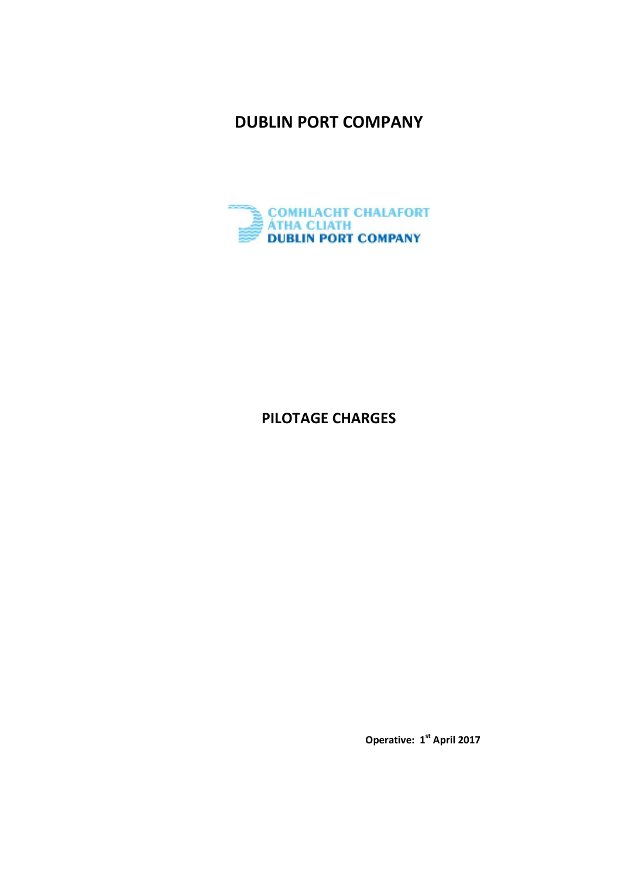**DUBLIN PORT COMPANY** 



# **PILOTAGE CHARGES**

 **Operative: 1st April 2017**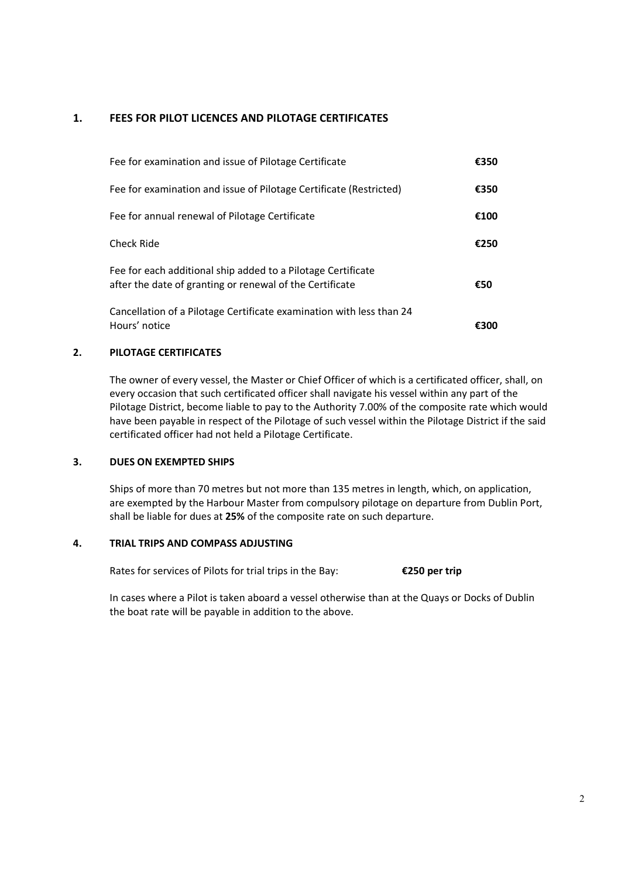## **1. FEES FOR PILOT LICENCES AND PILOTAGE CERTIFICATES**

| Fee for examination and issue of Pilotage Certificate                                                                    | €350 |
|--------------------------------------------------------------------------------------------------------------------------|------|
| Fee for examination and issue of Pilotage Certificate (Restricted)                                                       | £350 |
| Fee for annual renewal of Pilotage Certificate                                                                           | €100 |
| Check Ride                                                                                                               | €250 |
| Fee for each additional ship added to a Pilotage Certificate<br>after the date of granting or renewal of the Certificate | €50  |
| Cancellation of a Pilotage Certificate examination with less than 24<br>Hours' notice                                    |      |

#### **2. PILOTAGE CERTIFICATES**

 The owner of every vessel, the Master or Chief Officer of which is a certificated officer, shall, on every occasion that such certificated officer shall navigate his vessel within any part of the Pilotage District, become liable to pay to the Authority 7.00% of the composite rate which would have been payable in respect of the Pilotage of such vessel within the Pilotage District if the said certificated officer had not held a Pilotage Certificate.

### **3. DUES ON EXEMPTED SHIPS**

 Ships of more than 70 metres but not more than 135 metres in length, which, on application, are exempted by the Harbour Master from compulsory pilotage on departure from Dublin Port, shall be liable for dues at **25%** of the composite rate on such departure.

#### **4. TRIAL TRIPS AND COMPASS ADJUSTING**

Rates for services of Pilots for trial trips in the Bay: **€250 per trip**

In cases where a Pilot is taken aboard a vessel otherwise than at the Quays or Docks of Dublin the boat rate will be payable in addition to the above.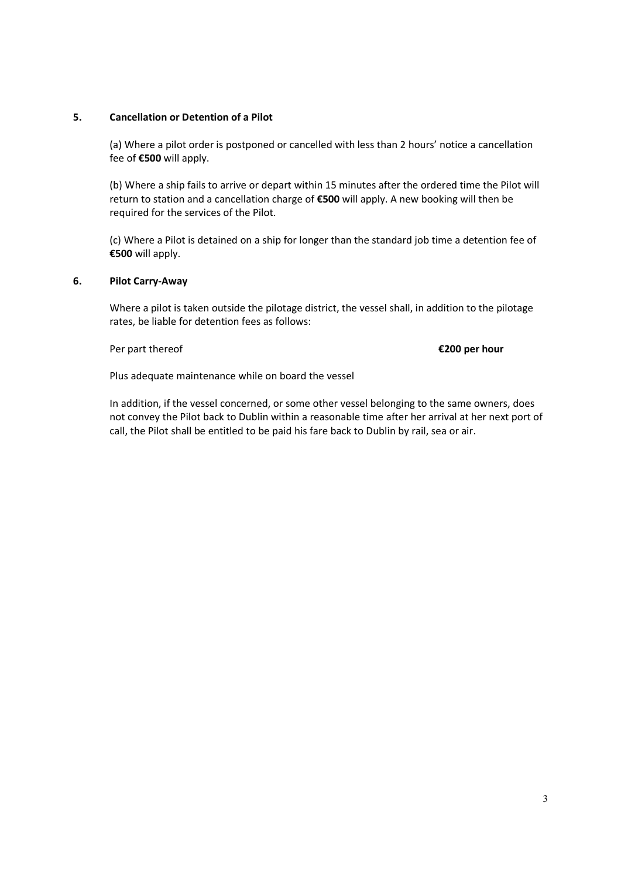#### **5. Cancellation or Detention of a Pilot**

(a) Where a pilot order is postponed or cancelled with less than 2 hours' notice a cancellation fee of **€500** will apply.

(b) Where a ship fails to arrive or depart within 15 minutes after the ordered time the Pilot will return to station and a cancellation charge of **€500** will apply. A new booking will then be required for the services of the Pilot.

(c) Where a Pilot is detained on a ship for longer than the standard job time a detention fee of **€500** will apply.

#### **6. Pilot Carry-Away**

Where a pilot is taken outside the pilotage district, the vessel shall, in addition to the pilotage rates, be liable for detention fees as follows:

Per part thereof **€200 per hour** 

Plus adequate maintenance while on board the vessel

 In addition, if the vessel concerned, or some other vessel belonging to the same owners, does not convey the Pilot back to Dublin within a reasonable time after her arrival at her next port of call, the Pilot shall be entitled to be paid his fare back to Dublin by rail, sea or air.